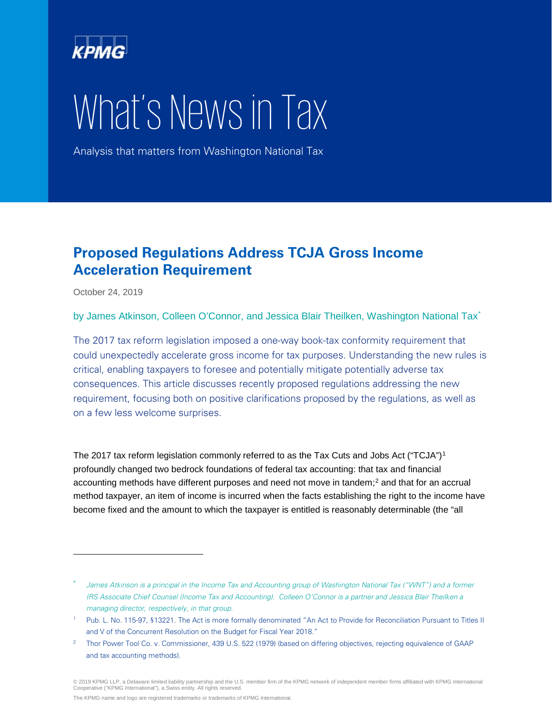

# What's News in Tax

Analysis that matters from Washington National Tax

# **Proposed Regulations Address TCJA Gross Income Acceleration Requirement**

October 24, 2019

-

by James Atkinson, Colleen O'Connor, and Jessica Blair Theilken, Washington National Tax[\\*](#page-0-0)

The 2017 tax reform legislation imposed a one-way book-tax conformity requirement that could unexpectedly accelerate gross income for tax purposes. Understanding the new rules is critical, enabling taxpayers to foresee and potentially mitigate potentially adverse tax consequences. This article discusses recently proposed regulations addressing the new requirement, focusing both on positive clarifications proposed by the regulations, as well as on a few less welcome surprises.

The 20[1](#page-0-1)7 tax reform legislation commonly referred to as the Tax Cuts and Jobs Act ("TCJA")<sup>1</sup> profoundly changed two bedrock foundations of federal tax accounting: that tax and financial accounting methods have different purposes and need not move in tandem;[2](#page-0-2) and that for an accrual method taxpayer, an item of income is incurred when the facts establishing the right to the income have become fixed and the amount to which the taxpayer is entitled is reasonably determinable (the "all

<span id="page-0-0"></span>James Atkinson is a principal in the Income Tax and Accounting group of Washington National Tax ("WNT") and a former IRS Associate Chief Counsel (Income Tax and Accounting). Colleen O'Connor is a partner and Jessica Blair Theilken a managing director, respectively, in that group.

<span id="page-0-1"></span><sup>1</sup> Pub. L. No. 115-97, §13221. The Act is more formally denominated "An Act to Provide for Reconciliation Pursuant to Titles II and V of the Concurrent Resolution on the Budget for Fiscal Year 2018."

<span id="page-0-2"></span><sup>2</sup> Thor Power Tool Co. v. Commissioner, 439 U.S. 522 (1979) (based on differing objectives, rejecting equivalence of GAAP and tax accounting methods).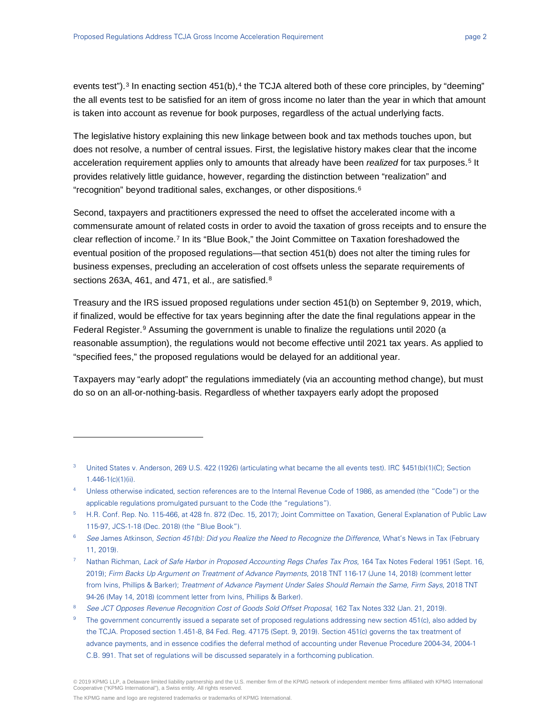events test").<sup>[3](#page-1-0)</sup> In enacting section  $451(b)$  $451(b)$ ,  $4$  the TCJA altered both of these core principles, by "deeming" the all events test to be satisfied for an item of gross income no later than the year in which that amount is taken into account as revenue for book purposes, regardless of the actual underlying facts.

The legislative history explaining this new linkage between book and tax methods touches upon, but does not resolve, a number of central issues. First, the legislative history makes clear that the income acceleration requirement applies only to amounts that already have been *realized* for tax purposes.[5](#page-1-2) It provides relatively little guidance, however, regarding the distinction between "realization" and "recognition" beyond traditional sales, exchanges, or other dispositions.[6](#page-1-3)

Second, taxpayers and practitioners expressed the need to offset the accelerated income with a commensurate amount of related costs in order to avoid the taxation of gross receipts and to ensure the clear reflection of income.[7](#page-1-4) In its "Blue Book," the Joint Committee on Taxation foreshadowed the eventual position of the proposed regulations—that section 451(b) does not alter the timing rules for business expenses, precluding an acceleration of cost offsets unless the separate requirements of sections 263A, 461, and 471, et al., are satisfied.<sup>[8](#page-1-5)</sup>

Treasury and the IRS issued proposed regulations under section 451(b) on September 9, 2019, which, if finalized, would be effective for tax years beginning after the date the final regulations appear in the Federal Register.<sup>[9](#page-1-6)</sup> Assuming the government is unable to finalize the regulations until 2020 (a reasonable assumption), the regulations would not become effective until 2021 tax years. As applied to "specified fees," the proposed regulations would be delayed for an additional year.

Taxpayers may "early adopt" the regulations immediately (via an accounting method change), but must do so on an all-or-nothing-basis. Regardless of whether taxpayers early adopt the proposed

The KPMG name and logo are registered trademarks or trademarks of KPMG International.

<span id="page-1-0"></span><sup>&</sup>lt;sup>3</sup> United States v. Anderson, 269 U.S. 422 (1926) (articulating what became the all events test). IRC §451(b)(1)(C); Section 1.446-1(c)(1)(ii).

<span id="page-1-1"></span><sup>4</sup> Unless otherwise indicated, section references are to the Internal Revenue Code of 1986, as amended (the "Code") or the applicable regulations promulgated pursuant to the Code (the "regulations").

<span id="page-1-2"></span><sup>5</sup> H.R. Conf. Rep. No. 115-466, at 428 fn. 872 (Dec. 15, 2017); Joint Committee on Taxation, General Explanation of Public Law 115-97, JCS-1-18 (Dec. 2018) (the "Blue Book").

<span id="page-1-3"></span><sup>&</sup>lt;sup>6</sup> See James Atkinson, Section 451(b): Did you Realize the Need to Recognize the Difference, What's News in Tax (February 11, 2019).

<span id="page-1-4"></span><sup>7</sup> Nathan Richman, Lack of Safe Harbor in Proposed Accounting Regs Chafes Tax Pros, 164 Tax Notes Federal 1951 (Sept. 16, 2019); Firm Backs Up Argument on Treatment of Advance Payments, 2018 TNT 116-17 (June 14, 2018) (comment letter from Ivins, Phillips & Barker); Treatment of Advance Payment Under Sales Should Remain the Same, Firm Says, 2018 TNT 94-26 (May 14, 2018) (comment letter from Ivins, Phillips & Barker).

<span id="page-1-5"></span><sup>8</sup> See JCT Opposes Revenue Recognition Cost of Goods Sold Offset Proposal, 162 Tax Notes 332 (Jan. 21, 2019).

<span id="page-1-6"></span><sup>&</sup>lt;sup>9</sup> The government concurrently issued a separate set of proposed regulations addressing new section 451(c), also added by the TCJA. Proposed section 1.451-8, 84 Fed. Reg. 47175 (Sept. 9, 2019). Section 451(c) governs the tax treatment of advance payments, and in essence codifies the deferral method of accounting under Revenue Procedure 2004-34, 2004-1 C.B. 991. That set of regulations will be discussed separately in a forthcoming publication.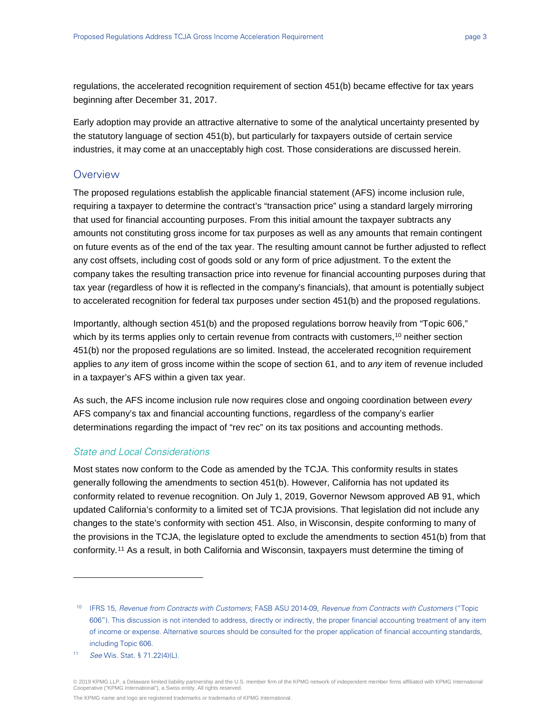regulations, the accelerated recognition requirement of section 451(b) became effective for tax years beginning after December 31, 2017.

Early adoption may provide an attractive alternative to some of the analytical uncertainty presented by the statutory language of section 451(b), but particularly for taxpayers outside of certain service industries, it may come at an unacceptably high cost. Those considerations are discussed herein.

# **Overview**

The proposed regulations establish the applicable financial statement (AFS) income inclusion rule, requiring a taxpayer to determine the contract's "transaction price" using a standard largely mirroring that used for financial accounting purposes. From this initial amount the taxpayer subtracts any amounts not constituting gross income for tax purposes as well as any amounts that remain contingent on future events as of the end of the tax year. The resulting amount cannot be further adjusted to reflect any cost offsets, including cost of goods sold or any form of price adjustment. To the extent the company takes the resulting transaction price into revenue for financial accounting purposes during that tax year (regardless of how it is reflected in the company's financials), that amount is potentially subject to accelerated recognition for federal tax purposes under section 451(b) and the proposed regulations.

Importantly, although section 451(b) and the proposed regulations borrow heavily from "Topic 606," which by its terms applies only to certain revenue from contracts with customers,<sup>[10](#page-2-0)</sup> neither section 451(b) nor the proposed regulations are so limited. Instead, the accelerated recognition requirement applies to *any* item of gross income within the scope of section 61, and to *any* item of revenue included in a taxpayer's AFS within a given tax year.

As such, the AFS income inclusion rule now requires close and ongoing coordination between *every* AFS company's tax and financial accounting functions, regardless of the company's earlier determinations regarding the impact of "rev rec" on its tax positions and accounting methods.

#### State and Local Considerations

Most states now conform to the Code as amended by the TCJA. This conformity results in states generally following the amendments to section 451(b). However, California has not updated its conformity related to revenue recognition. On July 1, 2019, Governor Newsom approved AB 91, which updated California's conformity to a limited set of TCJA provisions. That legislation did not include any changes to the state's conformity with section 451. Also, in Wisconsin, despite conforming to many of the provisions in the TCJA, the legislature opted to exclude the amendments to section 451(b) from that conformity.[11](#page-2-1) As a result, in both California and Wisconsin, taxpayers must determine the timing of

-

<span id="page-2-0"></span><sup>&</sup>lt;sup>10</sup> IFRS 15, Revenue from Contracts with Customers; FASB ASU 2014-09, Revenue from Contracts with Customers ("Topic 606"). This discussion is not intended to address, directly or indirectly, the proper financial accounting treatment of any item of income or expense. Alternative sources should be consulted for the proper application of financial accounting standards, including Topic 606.

<span id="page-2-1"></span><sup>11</sup> See Wis. Stat. § 71.22(4)(L).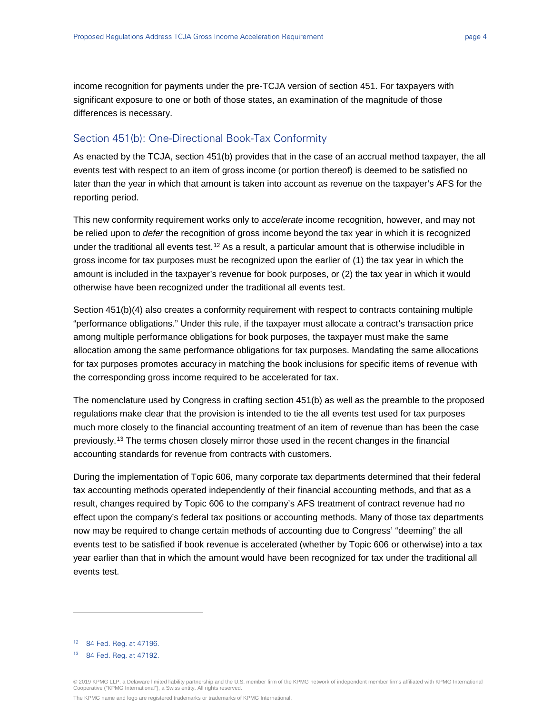income recognition for payments under the pre-TCJA version of section 451. For taxpayers with significant exposure to one or both of those states, an examination of the magnitude of those differences is necessary.

#### Section 451(b): One-Directional Book-Tax Conformity

As enacted by the TCJA, section 451(b) provides that in the case of an accrual method taxpayer, the all events test with respect to an item of gross income (or portion thereof) is deemed to be satisfied no later than the year in which that amount is taken into account as revenue on the taxpayer's AFS for the reporting period.

This new conformity requirement works only to *accelerate* income recognition, however, and may not be relied upon to *defer* the recognition of gross income beyond the tax year in which it is recognized under the traditional all events test.<sup>[12](#page-3-0)</sup> As a result, a particular amount that is otherwise includible in gross income for tax purposes must be recognized upon the earlier of (1) the tax year in which the amount is included in the taxpayer's revenue for book purposes, or (2) the tax year in which it would otherwise have been recognized under the traditional all events test.

Section 451(b)(4) also creates a conformity requirement with respect to contracts containing multiple "performance obligations." Under this rule, if the taxpayer must allocate a contract's transaction price among multiple performance obligations for book purposes, the taxpayer must make the same allocation among the same performance obligations for tax purposes. Mandating the same allocations for tax purposes promotes accuracy in matching the book inclusions for specific items of revenue with the corresponding gross income required to be accelerated for tax.

The nomenclature used by Congress in crafting section 451(b) as well as the preamble to the proposed regulations make clear that the provision is intended to tie the all events test used for tax purposes much more closely to the financial accounting treatment of an item of revenue than has been the case previously.<sup>[13](#page-3-1)</sup> The terms chosen closely mirror those used in the recent changes in the financial accounting standards for revenue from contracts with customers.

During the implementation of Topic 606, many corporate tax departments determined that their federal tax accounting methods operated independently of their financial accounting methods, and that as a result, changes required by Topic 606 to the company's AFS treatment of contract revenue had no effect upon the company's federal tax positions or accounting methods. Many of those tax departments now may be required to change certain methods of accounting due to Congress' "deeming" the all events test to be satisfied if book revenue is accelerated (whether by Topic 606 or otherwise) into a tax year earlier than that in which the amount would have been recognized for tax under the traditional all events test.

<span id="page-3-0"></span>12 84 Fed. Reg. at 47196.

<span id="page-3-1"></span><sup>13</sup> 84 Fed. Reg. at 47192.

<sup>© 2019</sup> KPMG LLP, a Delaware limited liability partnership and the U.S. member firm of the KPMG network of independent member firms affiliated with KPMG International<br>Cooperative ("KPMG International"), a Swiss entity. All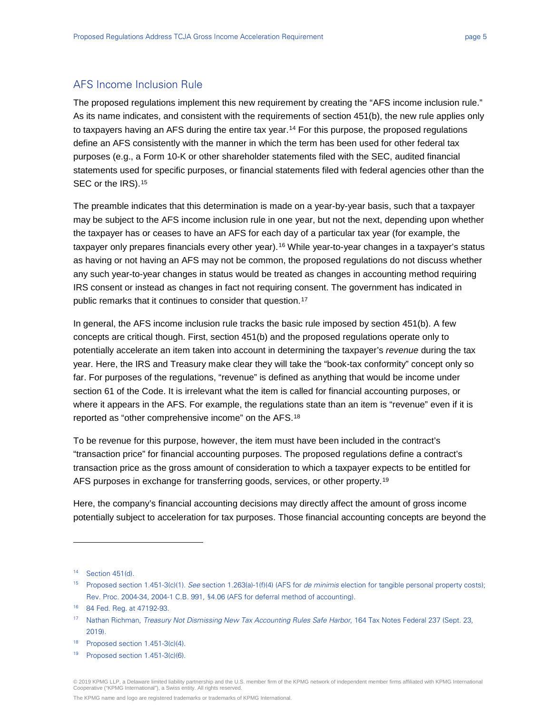# AFS Income Inclusion Rule

The proposed regulations implement this new requirement by creating the "AFS income inclusion rule." As its name indicates, and consistent with the requirements of section 451(b), the new rule applies only to taxpayers having an AFS during the entire tax year.<sup>[14](#page-4-0)</sup> For this purpose, the proposed regulations define an AFS consistently with the manner in which the term has been used for other federal tax purposes (e.g., a Form 10-K or other shareholder statements filed with the SEC, audited financial statements used for specific purposes, or financial statements filed with federal agencies other than the SEC or the IRS).<sup>[15](#page-4-1)</sup>

The preamble indicates that this determination is made on a year-by-year basis, such that a taxpayer may be subject to the AFS income inclusion rule in one year, but not the next, depending upon whether the taxpayer has or ceases to have an AFS for each day of a particular tax year (for example, the taxpayer only prepares financials every other year).<sup>[16](#page-4-2)</sup> While year-to-year changes in a taxpayer's status as having or not having an AFS may not be common, the proposed regulations do not discuss whether any such year-to-year changes in status would be treated as changes in accounting method requiring IRS consent or instead as changes in fact not requiring consent. The government has indicated in public remarks that it continues to consider that question.<sup>[17](#page-4-3)</sup>

In general, the AFS income inclusion rule tracks the basic rule imposed by section 451(b). A few concepts are critical though. First, section 451(b) and the proposed regulations operate only to potentially accelerate an item taken into account in determining the taxpayer's *revenue* during the tax year. Here, the IRS and Treasury make clear they will take the "book-tax conformity" concept only so far. For purposes of the regulations, "revenue" is defined as anything that would be income under section 61 of the Code. It is irrelevant what the item is called for financial accounting purposes, or where it appears in the AFS. For example, the regulations state than an item is "revenue" even if it is reported as "other comprehensive income" on the AFS.<sup>[18](#page-4-4)</sup>

To be revenue for this purpose, however, the item must have been included in the contract's "transaction price" for financial accounting purposes. The proposed regulations define a contract's transaction price as the gross amount of consideration to which a taxpayer expects to be entitled for AFS purposes in exchange for transferring goods, services, or other property.<sup>[19](#page-4-5)</sup>

Here, the company's financial accounting decisions may directly affect the amount of gross income potentially subject to acceleration for tax purposes. Those financial accounting concepts are beyond the

-

<span id="page-4-0"></span><sup>14</sup> Section 451(d).

<span id="page-4-1"></span><sup>15</sup> Proposed section 1.451-3(c)(1). See section 1.263(a)-1(f)(4) (AFS for de minimis election for tangible personal property costs); Rev. Proc. 2004-34, 2004-1 C.B. 991, §4.06 (AFS for deferral method of accounting).

<span id="page-4-2"></span><sup>16</sup> 84 Fed. Reg. at 47192-93.

<span id="page-4-3"></span><sup>&</sup>lt;sup>17</sup> Nathan Richman, *Treasury Not Dismissing New Tax Accounting Rules Safe Harbor*, 164 Tax Notes Federal 237 (Sept. 23, 2019).

<span id="page-4-4"></span> $18$  Proposed section  $1.451-3(c)(4)$ .

<span id="page-4-5"></span><sup>19</sup> Proposed section 1.451-3(c)(6).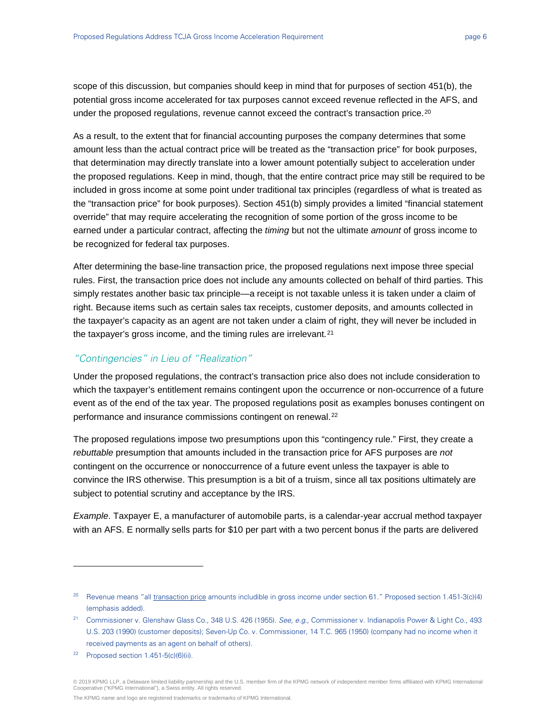scope of this discussion, but companies should keep in mind that for purposes of section 451(b), the potential gross income accelerated for tax purposes cannot exceed revenue reflected in the AFS, and under the proposed regulations, revenue cannot exceed the contract's transaction price.<sup>[20](#page-5-0)</sup>

As a result, to the extent that for financial accounting purposes the company determines that some amount less than the actual contract price will be treated as the "transaction price" for book purposes, that determination may directly translate into a lower amount potentially subject to acceleration under the proposed regulations. Keep in mind, though, that the entire contract price may still be required to be included in gross income at some point under traditional tax principles (regardless of what is treated as the "transaction price" for book purposes). Section 451(b) simply provides a limited "financial statement override" that may require accelerating the recognition of some portion of the gross income to be earned under a particular contract, affecting the *timing* but not the ultimate *amount* of gross income to be recognized for federal tax purposes.

After determining the base-line transaction price, the proposed regulations next impose three special rules. First, the transaction price does not include any amounts collected on behalf of third parties. This simply restates another basic tax principle—a receipt is not taxable unless it is taken under a claim of right. Because items such as certain sales tax receipts, customer deposits, and amounts collected in the taxpayer's capacity as an agent are not taken under a claim of right, they will never be included in the taxpayer's gross income, and the timing rules are irrelevant.<sup>[21](#page-5-1)</sup>

#### "Contingencies" in Lieu of "Realization"

Under the proposed regulations, the contract's transaction price also does not include consideration to which the taxpayer's entitlement remains contingent upon the occurrence or non-occurrence of a future event as of the end of the tax year. The proposed regulations posit as examples bonuses contingent on performance and insurance commissions contingent on renewal.<sup>[22](#page-5-2)</sup>

The proposed regulations impose two presumptions upon this "contingency rule." First, they create a *rebuttable* presumption that amounts included in the transaction price for AFS purposes are *not*  contingent on the occurrence or nonoccurrence of a future event unless the taxpayer is able to convince the IRS otherwise. This presumption is a bit of a truism, since all tax positions ultimately are subject to potential scrutiny and acceptance by the IRS.

*Example*. Taxpayer E, a manufacturer of automobile parts, is a calendar-year accrual method taxpayer with an AFS. E normally sells parts for \$10 per part with a two percent bonus if the parts are delivered

-

<span id="page-5-0"></span><sup>&</sup>lt;sup>20</sup> Revenue means "all transaction price amounts includible in gross income under section 61." Proposed section 1.451-3(c)(4) (emphasis added).

<span id="page-5-1"></span><sup>&</sup>lt;sup>21</sup> Commissioner v. Glenshaw Glass Co., 348 U.S. 426 (1955). See, e.g., Commissioner v. Indianapolis Power & Light Co., 493 U.S. 203 (1990) (customer deposits); Seven-Up Co. v. Commissioner, 14 T.C. 965 (1950) (company had no income when it received payments as an agent on behalf of others).

<span id="page-5-2"></span> $22$  Proposed section 1.451-5(c)(6)(ii).

<sup>© 2019</sup> KPMG LLP, a Delaware limited liability partnership and the U.S. member firm of the KPMG network of independent member firms affiliated with KPMG International<br>Cooperative ("KPMG International"), a Swiss entity. All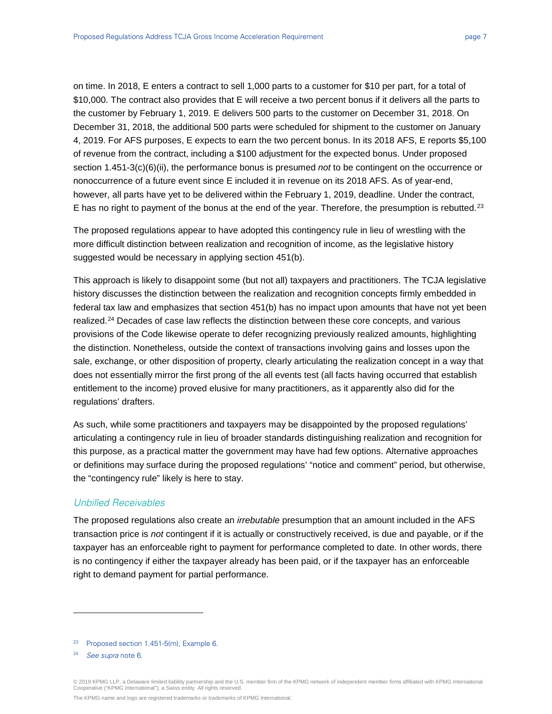on time. In 2018, E enters a contract to sell 1,000 parts to a customer for \$10 per part, for a total of \$10,000. The contract also provides that E will receive a two percent bonus if it delivers all the parts to the customer by February 1, 2019. E delivers 500 parts to the customer on December 31, 2018. On December 31, 2018, the additional 500 parts were scheduled for shipment to the customer on January 4, 2019. For AFS purposes, E expects to earn the two percent bonus. In its 2018 AFS, E reports \$5,100 of revenue from the contract, including a \$100 adjustment for the expected bonus. Under proposed section 1.451-3(c)(6)(ii), the performance bonus is presumed *not* to be contingent on the occurrence or nonoccurrence of a future event since E included it in revenue on its 2018 AFS. As of year-end, however, all parts have yet to be delivered within the February 1, 2019, deadline. Under the contract, E has no right to payment of the bonus at the end of the year. Therefore, the presumption is rebutted.<sup>[23](#page-6-0)</sup>

The proposed regulations appear to have adopted this contingency rule in lieu of wrestling with the more difficult distinction between realization and recognition of income, as the legislative history suggested would be necessary in applying section 451(b).

This approach is likely to disappoint some (but not all) taxpayers and practitioners. The TCJA legislative history discusses the distinction between the realization and recognition concepts firmly embedded in federal tax law and emphasizes that section 451(b) has no impact upon amounts that have not yet been realized.<sup>[24](#page-6-1)</sup> Decades of case law reflects the distinction between these core concepts, and various provisions of the Code likewise operate to defer recognizing previously realized amounts, highlighting the distinction. Nonetheless, outside the context of transactions involving gains and losses upon the sale, exchange, or other disposition of property, clearly articulating the realization concept in a way that does not essentially mirror the first prong of the all events test (all facts having occurred that establish entitlement to the income) proved elusive for many practitioners, as it apparently also did for the regulations' drafters.

As such, while some practitioners and taxpayers may be disappointed by the proposed regulations' articulating a contingency rule in lieu of broader standards distinguishing realization and recognition for this purpose, as a practical matter the government may have had few options. Alternative approaches or definitions may surface during the proposed regulations' "notice and comment" period, but otherwise, the "contingency rule" likely is here to stay.

#### Unbilled Receivables

The proposed regulations also create an *irrebutable* presumption that an amount included in the AFS transaction price is *not* contingent if it is actually or constructively received, is due and payable, or if the taxpayer has an enforceable right to payment for performance completed to date. In other words, there is no contingency if either the taxpayer already has been paid, or if the taxpayer has an enforceable right to demand payment for partial performance.

<span id="page-6-0"></span> $23$  Proposed section 1.451-5(m), Example 6.

<span id="page-6-1"></span><sup>24</sup> See supra note 6.

<sup>© 2019</sup> KPMG LLP, a Delaware limited liability partnership and the U.S. member firm of the KPMG network of independent member firms affiliated with KPMG International<br>Cooperative ("KPMG International"), a Swiss entity. All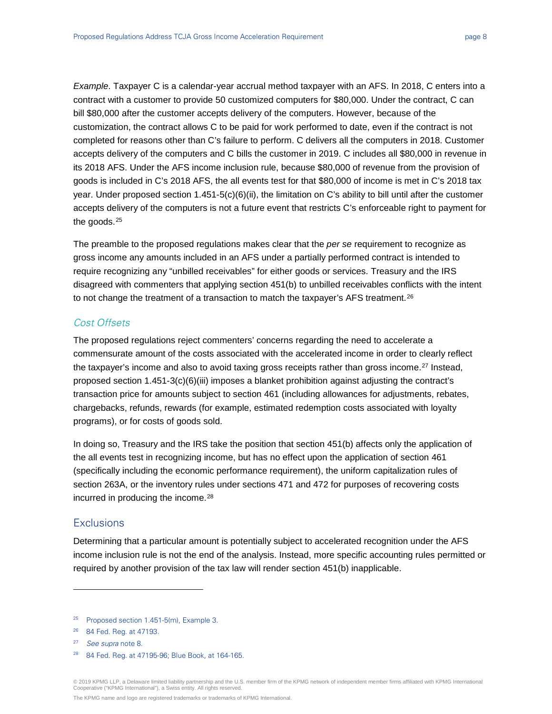*Example*. Taxpayer C is a calendar-year accrual method taxpayer with an AFS. In 2018, C enters into a contract with a customer to provide 50 customized computers for \$80,000. Under the contract, C can bill \$80,000 after the customer accepts delivery of the computers. However, because of the customization, the contract allows C to be paid for work performed to date, even if the contract is not completed for reasons other than C's failure to perform. C delivers all the computers in 2018. Customer accepts delivery of the computers and C bills the customer in 2019. C includes all \$80,000 in revenue in its 2018 AFS. Under the AFS income inclusion rule, because \$80,000 of revenue from the provision of goods is included in C's 2018 AFS, the all events test for that \$80,000 of income is met in C's 2018 tax year. Under proposed section 1.451-5(c)(6)(ii), the limitation on C's ability to bill until after the customer accepts delivery of the computers is not a future event that restricts C's enforceable right to payment for the goods.<sup>[25](#page-7-0)</sup>

The preamble to the proposed regulations makes clear that the *per se* requirement to recognize as gross income any amounts included in an AFS under a partially performed contract is intended to require recognizing any "unbilled receivables" for either goods or services. Treasury and the IRS disagreed with commenters that applying section 451(b) to unbilled receivables conflicts with the intent to not change the treatment of a transaction to match the taxpayer's AFS treatment. $26$ 

#### Cost Offsets

The proposed regulations reject commenters' concerns regarding the need to accelerate a commensurate amount of the costs associated with the accelerated income in order to clearly reflect the taxpayer's income and also to avoid taxing gross receipts rather than gross income.<sup>[27](#page-7-2)</sup> Instead, proposed section 1.451-3(c)(6)(iii) imposes a blanket prohibition against adjusting the contract's transaction price for amounts subject to section 461 (including allowances for adjustments, rebates, chargebacks, refunds, rewards (for example, estimated redemption costs associated with loyalty programs), or for costs of goods sold.

In doing so, Treasury and the IRS take the position that section 451(b) affects only the application of the all events test in recognizing income, but has no effect upon the application of section 461 (specifically including the economic performance requirement), the uniform capitalization rules of section 263A, or the inventory rules under sections 471 and 472 for purposes of recovering costs incurred in producing the income.<sup>[28](#page-7-3)</sup>

#### **Exclusions**

-

Determining that a particular amount is potentially subject to accelerated recognition under the AFS income inclusion rule is not the end of the analysis. Instead, more specific accounting rules permitted or required by another provision of the tax law will render section 451(b) inapplicable.

© 2019 KPMG LLP, a Delaware limited liability partnership and the U.S. member firm of the KPMG network of independent member firms affiliated with KPMG International<br>Cooperative ("KPMG International"), a Swiss entity. All

<span id="page-7-1"></span><span id="page-7-0"></span><sup>&</sup>lt;sup>25</sup> Proposed section 1.451-5(m), Example 3.

<sup>26</sup> 84 Fed. Reg. at 47193.

<span id="page-7-2"></span><sup>27</sup> See supra note 8.

<span id="page-7-3"></span><sup>28</sup> 84 Fed. Reg. at 47195-96; Blue Book, at 164-165.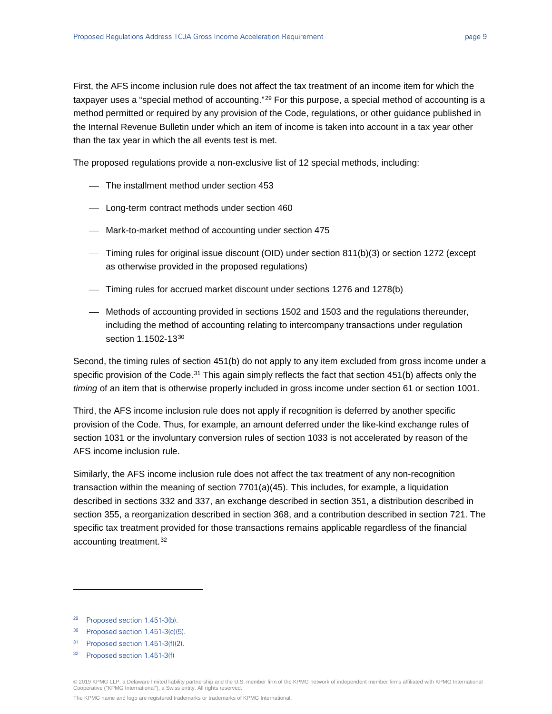First, the AFS income inclusion rule does not affect the tax treatment of an income item for which the taxpayer uses a "special method of accounting."<sup>[29](#page-8-0)</sup> For this purpose, a special method of accounting is a method permitted or required by any provision of the Code, regulations, or other guidance published in the Internal Revenue Bulletin under which an item of income is taken into account in a tax year other than the tax year in which the all events test is met.

The proposed regulations provide a non-exclusive list of 12 special methods, including:

- The installment method under section 453
- Long-term contract methods under section 460
- Mark-to-market method of accounting under section 475
- Timing rules for original issue discount (OID) under section 811(b)(3) or section 1272 (except as otherwise provided in the proposed regulations)
- Timing rules for accrued market discount under sections 1276 and 1278(b)
- Methods of accounting provided in sections 1502 and 1503 and the regulations thereunder, including the method of accounting relating to intercompany transactions under regulation section 1.1502-13[30](#page-8-1)

Second, the timing rules of section 451(b) do not apply to any item excluded from gross income under a specific provision of the Code.<sup>[31](#page-8-2)</sup> This again simply reflects the fact that section  $451(b)$  affects only the *timing* of an item that is otherwise properly included in gross income under section 61 or section 1001.

Third, the AFS income inclusion rule does not apply if recognition is deferred by another specific provision of the Code. Thus, for example, an amount deferred under the like-kind exchange rules of section 1031 or the involuntary conversion rules of section 1033 is not accelerated by reason of the AFS income inclusion rule.

Similarly, the AFS income inclusion rule does not affect the tax treatment of any non-recognition transaction within the meaning of section 7701(a)(45). This includes, for example, a liquidation described in sections 332 and 337, an exchange described in section 351, a distribution described in section 355, a reorganization described in section 368, and a contribution described in section 721. The specific tax treatment provided for those transactions remains applicable regardless of the financial accounting treatment.[32](#page-8-3)

<span id="page-8-1"></span><span id="page-8-0"></span><sup>29</sup> Proposed section 1.451-3(b).

<sup>30</sup> Proposed section 1.451-3(c)(5).

<span id="page-8-2"></span><sup>31</sup> Proposed section 1.451-3(f)(2).

<span id="page-8-3"></span><sup>32</sup> Proposed section 1.451-3(f)

<sup>© 2019</sup> KPMG LLP, a Delaware limited liability partnership and the U.S. member firm of the KPMG network of independent member firms affiliated with KPMG International<br>Cooperative ("KPMG International"), a Swiss entity. All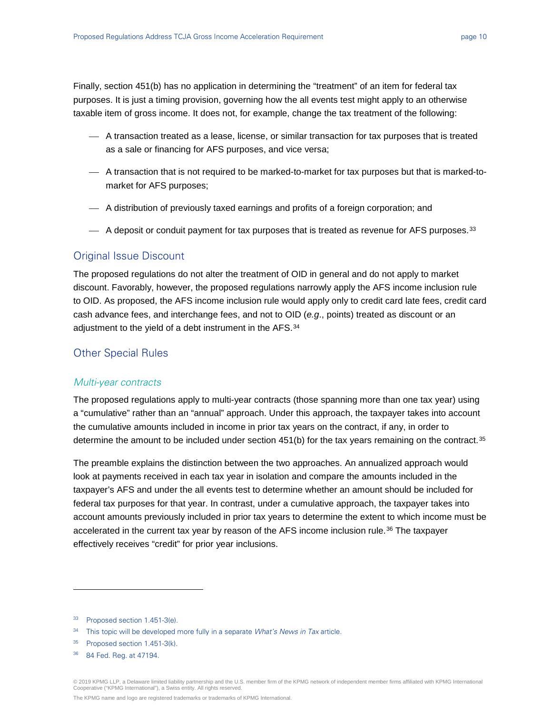Finally, section 451(b) has no application in determining the "treatment" of an item for federal tax purposes. It is just a timing provision, governing how the all events test might apply to an otherwise taxable item of gross income. It does not, for example, change the tax treatment of the following:

- A transaction treated as a lease, license, or similar transaction for tax purposes that is treated as a sale or financing for AFS purposes, and vice versa;
- A transaction that is not required to be marked-to-market for tax purposes but that is marked-tomarket for AFS purposes;
- A distribution of previously taxed earnings and profits of a foreign corporation; and
- $\mu$  A deposit or conduit payment for tax purposes that is treated as revenue for AFS purposes.  $33$

### Original Issue Discount

The proposed regulations do not alter the treatment of OID in general and do not apply to market discount. Favorably, however, the proposed regulations narrowly apply the AFS income inclusion rule to OID. As proposed, the AFS income inclusion rule would apply only to credit card late fees, credit card cash advance fees, and interchange fees, and not to OID (*e.g*., points) treated as discount or an adjustment to the yield of a debt instrument in the AFS.<sup>[34](#page-9-1)</sup>

# Other Special Rules

#### Multi-year contracts

The proposed regulations apply to multi-year contracts (those spanning more than one tax year) using a "cumulative" rather than an "annual" approach. Under this approach, the taxpayer takes into account the cumulative amounts included in income in prior tax years on the contract, if any, in order to determine the amount to be included under section 451(b) for the tax years remaining on the contract.<sup>[35](#page-9-2)</sup>

The preamble explains the distinction between the two approaches. An annualized approach would look at payments received in each tax year in isolation and compare the amounts included in the taxpayer's AFS and under the all events test to determine whether an amount should be included for federal tax purposes for that year. In contrast, under a cumulative approach, the taxpayer takes into account amounts previously included in prior tax years to determine the extent to which income must be accelerated in the current tax year by reason of the AFS income inclusion rule.<sup>[36](#page-9-3)</sup> The taxpayer effectively receives "credit" for prior year inclusions.

<span id="page-9-0"></span><sup>33</sup> Proposed section 1.451-3(e).

<span id="page-9-1"></span> $34$  This topic will be developed more fully in a separate *What's News in Tax* article.

<span id="page-9-2"></span><sup>&</sup>lt;sup>35</sup> Proposed section 1.451-3(k).

<span id="page-9-3"></span><sup>36</sup> 84 Fed. Reg. at 47194.

<sup>© 2019</sup> KPMG LLP, a Delaware limited liability partnership and the U.S. member firm of the KPMG network of independent member firms affiliated with KPMG International<br>Cooperative ("KPMG International"), a Swiss entity. All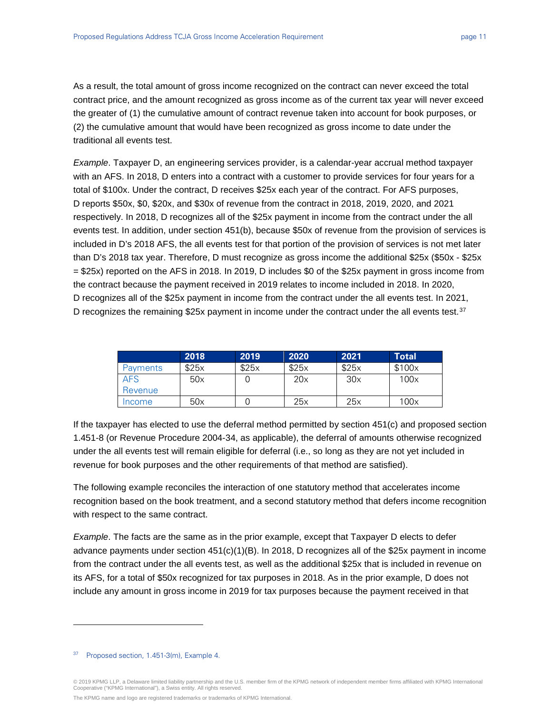As a result, the total amount of gross income recognized on the contract can never exceed the total contract price, and the amount recognized as gross income as of the current tax year will never exceed the greater of (1) the cumulative amount of contract revenue taken into account for book purposes, or (2) the cumulative amount that would have been recognized as gross income to date under the traditional all events test.

*Example*. Taxpayer D, an engineering services provider, is a calendar-year accrual method taxpayer with an AFS. In 2018, D enters into a contract with a customer to provide services for four years for a total of \$100x. Under the contract, D receives \$25x each year of the contract. For AFS purposes, D reports \$50x, \$0, \$20x, and \$30x of revenue from the contract in 2018, 2019, 2020, and 2021 respectively. In 2018, D recognizes all of the \$25x payment in income from the contract under the all events test. In addition, under section 451(b), because \$50x of revenue from the provision of services is included in D's 2018 AFS, the all events test for that portion of the provision of services is not met later than D's 2018 tax year. Therefore, D must recognize as gross income the additional \$25x (\$50x - \$25x = \$25x) reported on the AFS in 2018. In 2019, D includes \$0 of the \$25x payment in gross income from the contract because the payment received in 2019 relates to income included in 2018. In 2020, D recognizes all of the \$25x payment in income from the contract under the all events test. In 2021, D recognizes the remaining \$25x payment in income under the contract under the all events test.<sup>[37](#page-10-0)</sup>

|                 | 2018  | 2019  | 2020  | 2021  | Total  |
|-----------------|-------|-------|-------|-------|--------|
| <b>Payments</b> | \$25x | \$25x | \$25x | \$25x | \$100x |
| AFS             | 50x   |       | 20x   | 30x   | 100x   |
| Revenue         |       |       |       |       |        |
| Income          | 50x   |       | 25x   | 25x   | 100x   |

If the taxpayer has elected to use the deferral method permitted by section 451(c) and proposed section 1.451-8 (or Revenue Procedure 2004-34, as applicable), the deferral of amounts otherwise recognized under the all events test will remain eligible for deferral (i.e., so long as they are not yet included in revenue for book purposes and the other requirements of that method are satisfied).

The following example reconciles the interaction of one statutory method that accelerates income recognition based on the book treatment, and a second statutory method that defers income recognition with respect to the same contract.

*Example*. The facts are the same as in the prior example, except that Taxpayer D elects to defer advance payments under section 451(c)(1)(B). In 2018, D recognizes all of the \$25x payment in income from the contract under the all events test, as well as the additional \$25x that is included in revenue on its AFS, for a total of \$50x recognized for tax purposes in 2018. As in the prior example, D does not include any amount in gross income in 2019 for tax purposes because the payment received in that

<span id="page-10-0"></span><sup>37</sup> Proposed section, 1.451-3(m), Example 4.

<sup>© 2019</sup> KPMG LLP, a Delaware limited liability partnership and the U.S. member firm of the KPMG network of independent member firms affiliated with KPMG International<br>Cooperative ("KPMG International"), a Swiss entity. All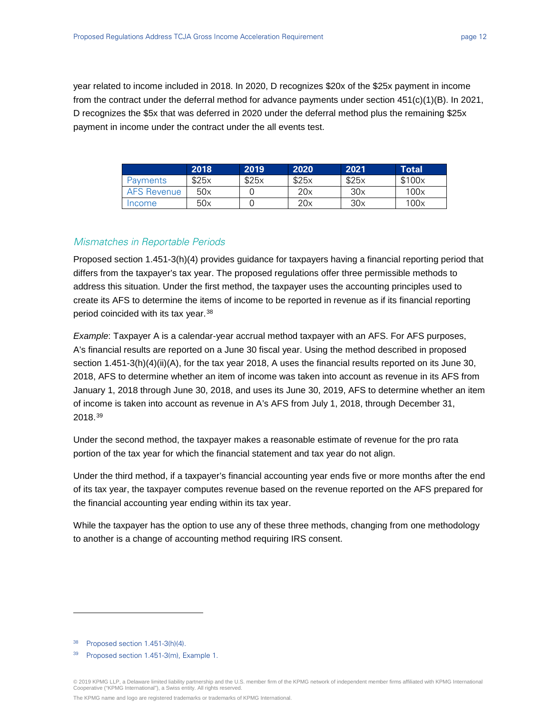year related to income included in 2018. In 2020, D recognizes \$20x of the \$25x payment in income from the contract under the deferral method for advance payments under section 451(c)(1)(B). In 2021, D recognizes the \$5x that was deferred in 2020 under the deferral method plus the remaining \$25x payment in income under the contract under the all events test.

|                    | 2018  | 2019  | 2020  | 2021  | <b>Total</b> |
|--------------------|-------|-------|-------|-------|--------------|
| <b>Payments</b>    | \$25x | \$25x | \$25x | \$25x | \$100x       |
| <b>AFS Revenue</b> | 50x   |       | 20x   | 30x   | 100x         |
| Income             | 50x   |       | 20x   | 30x   | 100x         |

#### Mismatches in Reportable Periods

Proposed section 1.451-3(h)(4) provides guidance for taxpayers having a financial reporting period that differs from the taxpayer's tax year. The proposed regulations offer three permissible methods to address this situation. Under the first method, the taxpayer uses the accounting principles used to create its AFS to determine the items of income to be reported in revenue as if its financial reporting period coincided with its tax year.[38](#page-11-0)

*Example*: Taxpayer A is a calendar-year accrual method taxpayer with an AFS. For AFS purposes, A's financial results are reported on a June 30 fiscal year. Using the method described in proposed section 1.451-3(h)(4)(ii)(A), for the tax year 2018, A uses the financial results reported on its June 30, 2018, AFS to determine whether an item of income was taken into account as revenue in its AFS from January 1, 2018 through June 30, 2018, and uses its June 30, 2019, AFS to determine whether an item of income is taken into account as revenue in A's AFS from July 1, 2018, through December 31, 2018.[39](#page-11-1)

Under the second method, the taxpayer makes a reasonable estimate of revenue for the pro rata portion of the tax year for which the financial statement and tax year do not align.

Under the third method, if a taxpayer's financial accounting year ends five or more months after the end of its tax year, the taxpayer computes revenue based on the revenue reported on the AFS prepared for the financial accounting year ending within its tax year.

While the taxpayer has the option to use any of these three methods, changing from one methodology to another is a change of accounting method requiring IRS consent.

<span id="page-11-0"></span> $38$  Proposed section 1.451-3(h)(4).

<span id="page-11-1"></span><sup>39</sup> Proposed section 1.451-3(m), Example 1.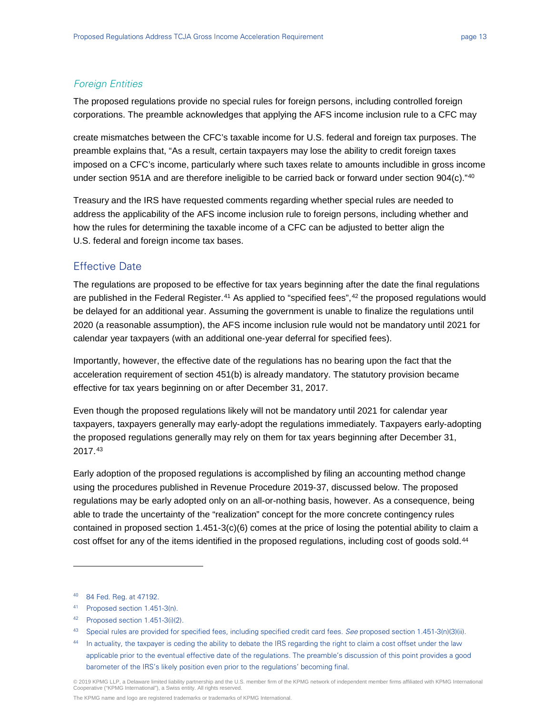# Foreign Entities

The proposed regulations provide no special rules for foreign persons, including controlled foreign corporations. The preamble acknowledges that applying the AFS income inclusion rule to a CFC may

create mismatches between the CFC's taxable income for U.S. federal and foreign tax purposes. The preamble explains that, "As a result, certain taxpayers may lose the ability to credit foreign taxes imposed on a CFC's income, particularly where such taxes relate to amounts includible in gross income under section 951A and are therefore ineligible to be carried back or forward under section 904(c)." $40$ 

Treasury and the IRS have requested comments regarding whether special rules are needed to address the applicability of the AFS income inclusion rule to foreign persons, including whether and how the rules for determining the taxable income of a CFC can be adjusted to better align the U.S. federal and foreign income tax bases.

# Effective Date

The regulations are proposed to be effective for tax years beginning after the date the final regulations are published in the Federal Register.<sup>[41](#page-12-1)</sup> As applied to "specified fees",<sup>[42](#page-12-2)</sup> the proposed regulations would be delayed for an additional year. Assuming the government is unable to finalize the regulations until 2020 (a reasonable assumption), the AFS income inclusion rule would not be mandatory until 2021 for calendar year taxpayers (with an additional one-year deferral for specified fees).

Importantly, however, the effective date of the regulations has no bearing upon the fact that the acceleration requirement of section 451(b) is already mandatory. The statutory provision became effective for tax years beginning on or after December 31, 2017.

Even though the proposed regulations likely will not be mandatory until 2021 for calendar year taxpayers, taxpayers generally may early-adopt the regulations immediately. Taxpayers early-adopting the proposed regulations generally may rely on them for tax years beginning after December 31, 2017.[43](#page-12-3)

Early adoption of the proposed regulations is accomplished by filing an accounting method change using the procedures published in Revenue Procedure 2019-37, discussed below. The proposed regulations may be early adopted only on an all-or-nothing basis, however. As a consequence, being able to trade the uncertainty of the "realization" concept for the more concrete contingency rules contained in proposed section 1.451-3(c)(6) comes at the price of losing the potential ability to claim a cost offset for any of the items identified in the proposed regulations, including cost of goods sold.<sup>[44](#page-12-4)</sup>

-

<span id="page-12-0"></span><sup>40</sup> 84 Fed. Reg. at 47192.

<span id="page-12-1"></span><sup>41</sup> Proposed section 1.451-3(n).

<span id="page-12-2"></span> $42$  Proposed section 1.451-3(i)(2).

<span id="page-12-3"></span><sup>43</sup> Special rules are provided for specified fees, including specified credit card fees. See proposed section 1.451-3(n)(3)(ii).

<span id="page-12-4"></span><sup>44</sup> In actuality, the taxpayer is ceding the ability to debate the IRS regarding the right to claim a cost offset under the law applicable prior to the eventual effective date of the regulations. The preamble's discussion of this point provides a good barometer of the IRS's likely position even prior to the regulations' becoming final.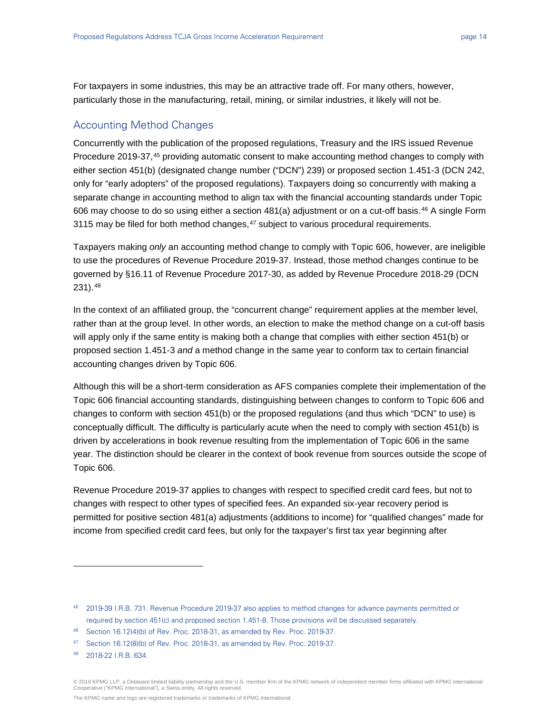For taxpayers in some industries, this may be an attractive trade off. For many others, however, particularly those in the manufacturing, retail, mining, or similar industries, it likely will not be.

# Accounting Method Changes

Concurrently with the publication of the proposed regulations, Treasury and the IRS issued Revenue Procedure 2019-37,<sup>[45](#page-13-0)</sup> providing automatic consent to make accounting method changes to comply with either section 451(b) (designated change number ("DCN") 239) or proposed section 1.451-3 (DCN 242, only for "early adopters" of the proposed regulations). Taxpayers doing so concurrently with making a separate change in accounting method to align tax with the financial accounting standards under Topic 606 may choose to do so using either a section 481(a) adjustment or on a cut-off basis.[46](#page-13-1) A single Form 3115 may be filed for both method changes, $47$  subject to various procedural requirements.

Taxpayers making *only* an accounting method change to comply with Topic 606, however, are ineligible to use the procedures of Revenue Procedure 2019-37. Instead, those method changes continue to be governed by §16.11 of Revenue Procedure 2017-30, as added by Revenue Procedure 2018-29 (DCN 231).[48](#page-13-3)

In the context of an affiliated group, the "concurrent change" requirement applies at the member level, rather than at the group level. In other words, an election to make the method change on a cut-off basis will apply only if the same entity is making both a change that complies with either section 451(b) or proposed section 1.451-3 *and* a method change in the same year to conform tax to certain financial accounting changes driven by Topic 606.

Although this will be a short-term consideration as AFS companies complete their implementation of the Topic 606 financial accounting standards, distinguishing between changes to conform to Topic 606 and changes to conform with section 451(b) or the proposed regulations (and thus which "DCN" to use) is conceptually difficult. The difficulty is particularly acute when the need to comply with section 451(b) is driven by accelerations in book revenue resulting from the implementation of Topic 606 in the same year. The distinction should be clearer in the context of book revenue from sources outside the scope of Topic 606.

Revenue Procedure 2019-37 applies to changes with respect to specified credit card fees, but not to changes with respect to other types of specified fees. An expanded six-year recovery period is permitted for positive section 481(a) adjustments (additions to income) for "qualified changes" made for income from specified credit card fees, but only for the taxpayer's first tax year beginning after

<span id="page-13-0"></span><sup>45</sup> 2019-39 I.R.B. 731. Revenue Procedure 2019-37 also applies to method changes for advance payments permitted or required by section 451(c) and proposed section 1.451-8. Those provisions will be discussed separately.

<span id="page-13-1"></span><sup>46</sup> Section 16.12(4)(b) of Rev. Proc. 2018-31, as amended by Rev. Proc. 2019-37.

<span id="page-13-2"></span><sup>47</sup> Section 16.12(8)(b) of Rev. Proc. 2018-31, as amended by Rev. Proc. 2019-37.

<span id="page-13-3"></span><sup>48</sup> 2018-22 I.R.B. 634.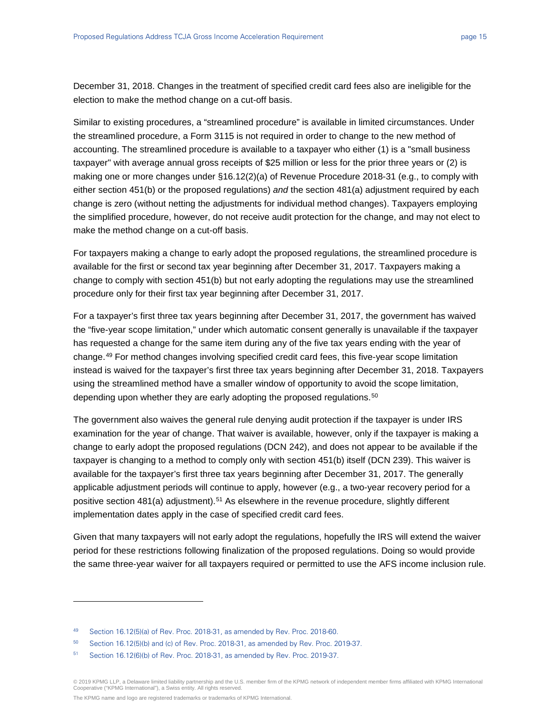December 31, 2018. Changes in the treatment of specified credit card fees also are ineligible for the election to make the method change on a cut-off basis.

Similar to existing procedures, a "streamlined procedure" is available in limited circumstances. Under the streamlined procedure, a Form 3115 is not required in order to change to the new method of accounting. The streamlined procedure is available to a taxpayer who either (1) is a "small business taxpayer" with average annual gross receipts of \$25 million or less for the prior three years or (2) is making one or more changes under §16.12(2)(a) of Revenue Procedure 2018-31 (e.g., to comply with either section 451(b) or the proposed regulations) *and* the section 481(a) adjustment required by each change is zero (without netting the adjustments for individual method changes). Taxpayers employing the simplified procedure, however, do not receive audit protection for the change, and may not elect to make the method change on a cut-off basis.

For taxpayers making a change to early adopt the proposed regulations, the streamlined procedure is available for the first or second tax year beginning after December 31, 2017. Taxpayers making a change to comply with section 451(b) but not early adopting the regulations may use the streamlined procedure only for their first tax year beginning after December 31, 2017.

For a taxpayer's first three tax years beginning after December 31, 2017, the government has waived the "five-year scope limitation," under which automatic consent generally is unavailable if the taxpayer has requested a change for the same item during any of the five tax years ending with the year of change.<sup>[49](#page-14-0)</sup> For method changes involving specified credit card fees, this five-year scope limitation instead is waived for the taxpayer's first three tax years beginning after December 31, 2018. Taxpayers using the streamlined method have a smaller window of opportunity to avoid the scope limitation, depending upon whether they are early adopting the proposed regulations.<sup>[50](#page-14-1)</sup>

The government also waives the general rule denying audit protection if the taxpayer is under IRS examination for the year of change. That waiver is available, however, only if the taxpayer is making a change to early adopt the proposed regulations (DCN 242), and does not appear to be available if the taxpayer is changing to a method to comply only with section 451(b) itself (DCN 239). This waiver is available for the taxpayer's first three tax years beginning after December 31, 2017. The generally applicable adjustment periods will continue to apply, however (e.g., a two-year recovery period for a positive section 481(a) adjustment).<sup>[51](#page-14-2)</sup> As elsewhere in the revenue procedure, slightly different implementation dates apply in the case of specified credit card fees.

Given that many taxpayers will not early adopt the regulations, hopefully the IRS will extend the waiver period for these restrictions following finalization of the proposed regulations. Doing so would provide the same three-year waiver for all taxpayers required or permitted to use the AFS income inclusion rule.

<span id="page-14-0"></span><sup>49</sup> Section 16.12(5)(a) of Rev. Proc. 2018-31, as amended by Rev. Proc. 2018-60.

<span id="page-14-2"></span><span id="page-14-1"></span><sup>&</sup>lt;sup>50</sup> Section 16.12(5)(b) and (c) of Rev. Proc. 2018-31, as amended by Rev. Proc. 2019-37.

<sup>51</sup> Section 16.12(6)(b) of Rev. Proc. 2018-31, as amended by Rev. Proc. 2019-37.

<sup>© 2019</sup> KPMG LLP, a Delaware limited liability partnership and the U.S. member firm of the KPMG network of independent member firms affiliated with KPMG International<br>Cooperative ("KPMG International"), a Swiss entity. All